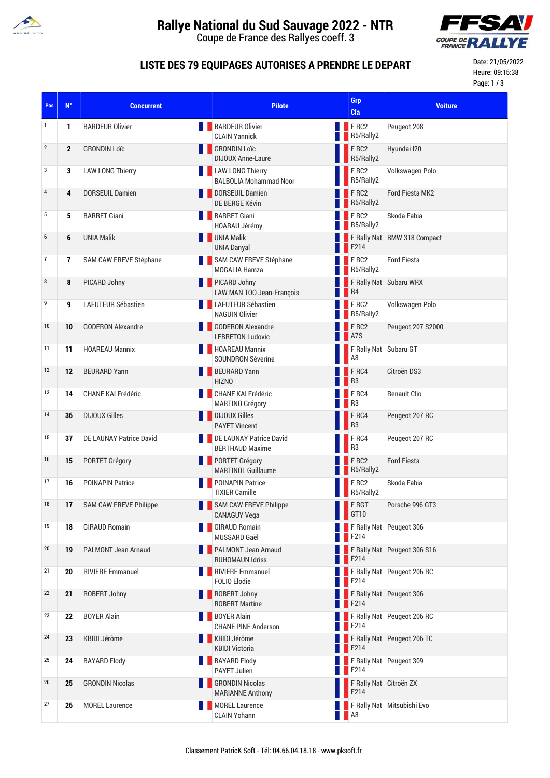

# **Rallye National du Sud Sauvage 2022 - NTR**

Coupe de France des Rallyes coeff. 3



#### **LISTE DES 79 EQUIPAGES AUTORISES A PRENDRE LE DEPART**

Date: 21/05/2022 Heure: 09:15:38 Page: 1 / 3

| Pos              | $N^{\circ}$  | <b>Concurrent</b>               | <b>Pilote</b>                                        | Grp<br>Cla                                              | <b>Voiture</b>              |
|------------------|--------------|---------------------------------|------------------------------------------------------|---------------------------------------------------------|-----------------------------|
| 1                | 1            | <b>BARDEUR Olivier</b>          | <b>BARDEUR Olivier</b><br><b>CLAIN Yannick</b>       | $F$ RC2<br>R5/Rally2                                    | Peugeot 208                 |
| $\overline{2}$   | $\mathbf{2}$ | <b>GRONDIN Loïc</b>             | <b>GRONDIN Loïc</b><br><b>DIJOUX Anne-Laure</b>      | FRC2<br>R5/Rally2                                       | Hyundai I20                 |
| 3                | 3            | <b>LAW LONG Thierry</b>         | LAW LONG Thierry<br><b>BALBOLIA Mohammad Noor</b>    | FRC2<br>R5/Rally2                                       | Volkswagen Polo             |
| $\overline{4}$   | 4            | <b>DORSEUIL Damien</b>          | DORSEUIL Damien<br><b>DE BERGE Kévin</b>             | FRC2<br>R5/Rally2                                       | <b>Ford Fiesta MK2</b>      |
| 5                | 5            | <b>BARRET Giani</b>             | <b>BARRET Giani</b><br>HOARAU Jérémy                 | FRC2<br>R5/Rally2                                       | Skoda Fabia                 |
| $\boldsymbol{6}$ | 6            | <b>UNIA Malik</b>               | <b>NO UNIA Malik</b><br><b>UNIA Danyal</b>           | F214                                                    | F Rally Nat BMW 318 Compact |
| $\overline{7}$   | 7            | SAM CAW FREVE Stéphane          | SAM CAW FREVE Stéphane<br><b>MOGALIA Hamza</b>       | FRC2<br>R5/Rally2                                       | <b>Ford Fiesta</b>          |
| 8                | 8            | PICARD Johny                    | PICARD Johny<br>LAW MAN TOO Jean-François            | R4                                                      | F Rally Nat Subaru WRX      |
| 9                | 9            | <b>LAFUTEUR Sébastien</b>       | <b>LAFUTEUR Sébastien</b><br><b>NAGUIN Olivier</b>   | FRC2<br><b>B</b> R5/Rally2                              | Volkswagen Polo             |
| 10               | 10           | <b>GODERON Alexandre</b>        | GODERON Alexandre<br><b>LEBRETON Ludovic</b>         | FRC2<br>A <sub>7</sub> S                                | Peugeot 207 S2000           |
| 11               | 11           | <b>HOAREAU Mannix</b>           | HOAREAU Mannix<br><b>SOUNDRON Séverine</b>           | F Rally Nat   Subaru GT<br>A8                           |                             |
| 12               | 12           | <b>BEURARD Yann</b>             | <b>BEURARD Yann</b><br><b>HIZNO</b>                  | FRC4<br>R <sub>3</sub>                                  | Citroën DS3                 |
| 13               | 14           | <b>CHANE KAI Frédéric</b>       | CHANE KAI Frédéric<br>MARTINO Grégory                | $F$ RC4<br>R <sub>3</sub>                               | <b>Renault Clio</b>         |
| 14               | 36           | <b>DIJOUX Gilles</b>            | DIJOUX Gilles<br><b>PAYET Vincent</b>                | FRC4<br>R <sup>3</sup>                                  | Peugeot 207 RC              |
| 15               | 37           | <b>DE LAUNAY Patrice David</b>  | DE LAUNAY Patrice David<br><b>BERTHAUD Maxime</b>    | $F$ RC4<br>R <sub>3</sub>                               | Peugeot 207 RC              |
| 16               | 15           | <b>PORTET Grégory</b>           | <b>PORTET Grégory</b><br><b>MARTINOL Guillaume</b>   | FRC <sub>2</sub><br>R5/Rally2                           | <b>Ford Fiesta</b>          |
| 17               | 16           | <b>POINAPIN Patrice</b><br>a pr | POINAPIN Patrice<br><b>TIXIER Camille</b>            | FRC2<br>R5/Rally2                                       | Skoda Fabia                 |
| 18               | 17           | <b>SAM CAW FREVE Philippe</b>   | <b>SAM CAW FREVE Philippe</b><br><b>CANAGUY Vega</b> | FRGT<br><b>TELESCOPE</b>                                | Porsche 996 GT3             |
| 19               | 18           | <b>GIRAUD Romain</b>            | <b>GIRAUD Romain</b><br>MUSSARD Gaël                 | $\overline{\phantom{1}}$ F214                           | F Rally Nat Peugeot 306     |
| 20               | 19           | <b>PALMONT Jean Arnaud</b>      | PALMONT Jean Arnaud<br><b>RUHOMAUN Idriss</b>        | F214                                                    | F Rally Nat Peugeot 306 S16 |
| 21               | 20           | <b>RIVIERE Emmanuel</b>         | RIVIERE Emmanuel<br><b>FOLIO Elodie</b>              | F214                                                    | F Rally Nat Peugeot 206 RC  |
| 22               | 21           | ROBERT Johny                    | ROBERT Johny<br><b>ROBERT Martine</b>                | F214                                                    | F Rally Nat Peugeot 306     |
| 23               | 22           | <b>BOYER Alain</b>              | <b>BOYER Alain</b><br><b>CHANE PINE Anderson</b>     | F214                                                    | F Rally Nat Peugeot 206 RC  |
| 24               | 23           | KBIDI Jérôme                    | <b>KBIDI Jérôme</b><br><b>KBIDI Victoria</b>         | F214                                                    | F Rally Nat Peugeot 206 TC  |
| 25               | 24           | <b>BAYARD Flody</b>             | <b>BAYARD Flody</b><br><b>PAYET Julien</b>           | F214                                                    | F Rally Nat Peugeot 309     |
| 26               | 25           | <b>GRONDIN Nicolas</b>          | <b>GRONDIN Nicolas</b><br><b>MARIANNE Anthony</b>    | F Rally Nat Citroën ZX<br>$\overline{\phantom{1}}$ F214 |                             |
| 27               | 26           | <b>MOREL Laurence</b>           | MOREL Laurence<br><b>CLAIN Yohann</b>                | $\blacksquare$ A8                                       | F Rally Nat Mitsubishi Evo  |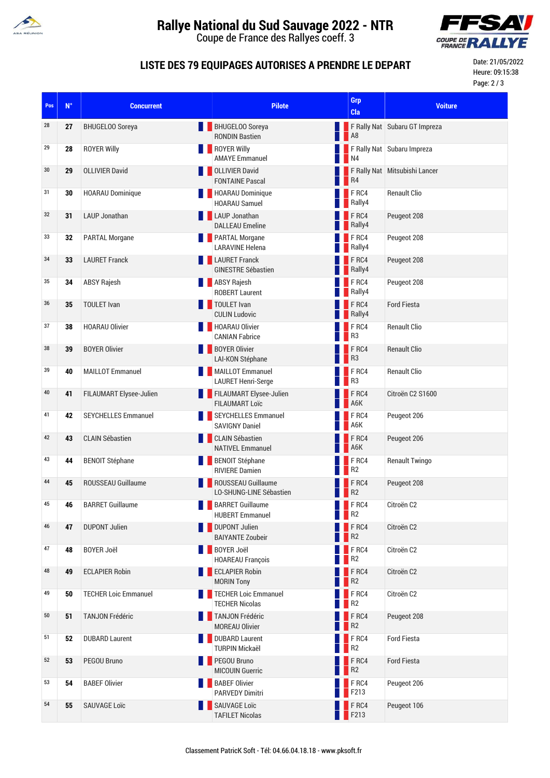

# **Rallye National du Sud Sauvage 2022 - NTR**

Coupe de France des Rallyes coeff. 3



#### **LISTE DES 79 EQUIPAGES AUTORISES A PRENDRE LE DEPART**

Date: 21/05/2022 Heure: 09:15:38 Page: 2 / 3

| Pos | $N^{\circ}$ | <b>Concurrent</b>           | <b>Pilote</b>                                        | <b>Grp</b><br>Cla                     | <b>Voiture</b>                |
|-----|-------------|-----------------------------|------------------------------------------------------|---------------------------------------|-------------------------------|
| 28  | 27          | <b>BHUGELOO Soreya</b>      | <b>BHUGELOO Soreya</b><br><b>RONDIN Bastien</b>      | A8                                    | F Rally Nat Subaru GT Impreza |
| 29  | 28          | <b>ROYER Willy</b>          | <b>ROYER Willy</b><br><b>AMAYE Emmanuel</b>          | $\blacksquare$ N4                     | F Rally Nat Subaru Impreza    |
| 30  | 29          | <b>OLLIVIER David</b>       | <b>OLLIVIER David</b><br><b>FONTAINE Pascal</b>      | R4                                    | F Rally Nat Mitsubishi Lancer |
| 31  | 30          | <b>HOARAU Dominique</b>     | HOARAU Dominique<br><b>HOARAU Samuel</b>             | $F$ RC4<br>Rally4                     | <b>Renault Clio</b>           |
| 32  | 31          | <b>LAUP Jonathan</b>        | <b>LAUP Jonathan</b><br><b>DALLEAU Emeline</b>       | FRC4<br>Rally4                        | Peugeot 208                   |
| 33  | 32          | <b>PARTAL Morgane</b>       | <b>PARTAL Morgane</b><br><b>LARAVINE Helena</b>      | FRC4<br>Rally4                        | Peugeot 208                   |
| 34  | 33          | <b>LAURET Franck</b>        | <b>LAURET Franck</b><br><b>GINESTRE Sébastien</b>    | FRC4<br>Rally4                        | Peugeot 208                   |
| 35  | 34          | <b>ABSY Rajesh</b>          | <b>ABSY Rajesh</b><br><b>ROBERT Laurent</b>          | FRC4<br>Rally4                        | Peugeot 208                   |
| 36  | 35          | <b>TOULET Ivan</b>          | TOULET Ivan<br><b>CULIN Ludovic</b>                  | FRC4<br>Rally4                        | <b>Ford Fiesta</b>            |
| 37  | 38          | <b>HOARAU Olivier</b>       | HOARAU Olivier<br><b>CANIAN Fabrice</b>              | FRC4<br>R <sub>3</sub>                | <b>Renault Clio</b>           |
| 38  | 39          | <b>BOYER Olivier</b><br>H.  | <b>BOYER Olivier</b><br>LAI-KON Stéphane             | FRC4<br>R <sub>3</sub>                | <b>Renault Clio</b>           |
| 39  | 40          | <b>MAILLOT Emmanuel</b>     | <b>MAILLOT</b> Emmanuel<br><b>LAURET Henri-Serge</b> | FRC4<br>R3                            | <b>Renault Clio</b>           |
| 40  | 41          | FILAUMART Elysee-Julien     | FILAUMART Elysee-Julien<br><b>FILAUMART Loïc</b>     | FRC4<br>A6K                           | Citroën C2 S1600              |
| 41  | 42          | <b>SEYCHELLES Emmanuel</b>  | SEYCHELLES Emmanuel<br><b>SAVIGNY Daniel</b>         | F <sub>RC4</sub><br>A6K               | Peugeot 206                   |
| 42  | 43          | <b>CLAIN Sébastien</b>      | <b>CLAIN Sébastien</b><br><b>NATIVEL Emmanuel</b>    | FRC4<br>A6K                           | Peugeot 206                   |
| 43  | 44          | <b>BENOIT Stéphane</b>      | <b>BENOIT Stéphane</b><br><b>RIVIERE Damien</b>      | $F$ RC4<br>R <sub>2</sub>             | <b>Renault Twingo</b>         |
| 44  | 45          | ROUSSEAU Guillaume          | ROUSSEAU Guillaume<br>LO-SHUNG-LINE Sébastien        | FRC4<br>R <sub>2</sub>                | Peugeot 208                   |
| 45  | 46          | <b>BARRET Guillaume</b>     | <b>BARRET Guillaume</b><br><b>HUBERT Emmanuel</b>    | $F$ RC4<br>R <sub>2</sub>             | Citroën C <sub>2</sub>        |
| 46  | 47          | <b>DUPONT Julien</b>        | <b>DUPONT Julien</b><br><b>BAIYANTE Zoubeir</b>      | F <sub>RC4</sub><br>R <sub>2</sub>    | Citroën C2                    |
| 47  | 48          | <b>BOYER Joël</b><br>a pr   | <b>BOYER Joël</b><br><b>HOAREAU François</b>         | $F$ RC4<br>R <sub>2</sub>             | Citroën C2                    |
| 48  | 49          | <b>ECLAPIER Robin</b>       | <b>ECLAPIER Robin</b><br><b>MORIN Tony</b>           | FRC4<br>R <sub>2</sub>                | Citroën C2                    |
| 49  | 50          | <b>TECHER Loic Emmanuel</b> | TECHER Loic Emmanuel<br><b>TECHER Nicolas</b>        | FRC4<br>R <sub>2</sub>                | Citroën C2                    |
| 50  | 51          | <b>TANJON Frédéric</b>      | TANJON Frédéric<br><b>MOREAU Olivier</b>             | FRC4<br>R <sub>2</sub>                | Peugeot 208                   |
| 51  | 52          | <b>DUBARD Laurent</b>       | <b>DUBARD Laurent</b><br><b>TURPIN Mickaël</b>       | FRC4<br>R <sub>2</sub>                | <b>Ford Fiesta</b>            |
| 52  | 53          | PEGOU Bruno                 | PEGOU Bruno<br><b>MICOUIN Guerric</b>                | F <sub>RC4</sub><br>R <sup>2</sup>    | <b>Ford Fiesta</b>            |
| 53  | 54          | <b>BABEF Olivier</b>        | <b>BABEF Olivier</b><br><b>PARVEDY Dimitri</b>       | FRC4<br>$\overline{\phantom{1}}$ F213 | Peugeot 206                   |
| 54  | 55          | <b>SAUVAGE Loïc</b>         | SAUVAGE Loïc<br><b>TAFILET Nicolas</b>               | FRC4<br>$\vert$ F213                  | Peugeot 106                   |